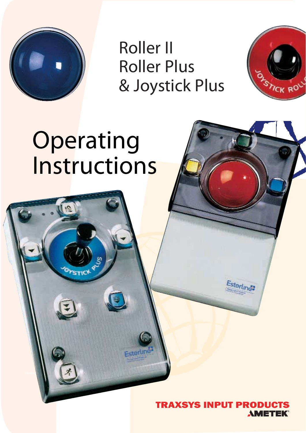

Roller II Roller Plus & Joystick Plus



# **Operating Instructions**

Penny andGilesComputerProducts adivisionofDevlinElectronics Ltd

1 EmbankmentWay,Ringwood,HampshireBH24 1EUUnited Kingdom,HampshireBH24 1EUU

**PSTICK<sup>Q</sup>** 



.<br>sterlines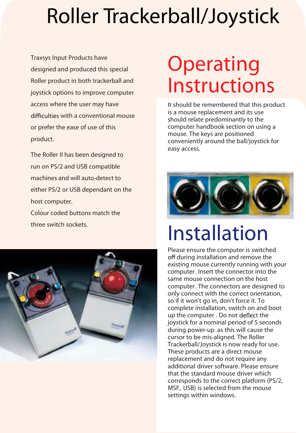# Roller Trackerball/Joystick

product.<br>Phe Dellas liberations designed to **Traxsys Input Products have designed and produced this special Roller product in both trackerball and joystick options to improve computer access where the user may have with a conventional mouse or prefer the ease of use of this product.**

The Roller II has been designed to<br>run on PS/2 and USB compatible<br>machines and will auto-detect to **The Roller II has been designed to run on PS/2 and USB compatible machines and will auto-detect to either PS/2 or USB dependant on the host computer.**

**Colour coded buttons match the three switch sockets.**



### **Operating** Instructions

It should be remembered that this product is a mouse replacement and its use should relate predominantly to the computer handbook section on using a mouse. The keys are positioned conveniently around the ball/joystick for easy access.



### Installation

Please ensure the computer is switched during installation and remove the existing mouse currently running with your computer. Insert the connector into the same mouse connection on the host computer. The connectors are designed to only connect with the correct orientation, so if it won't go in, don't force it. To complete installation, switch on and boot up the computer . Do not deflect the joystick for a nominal period of 5 seconds during power-up as this will cause the cursor to be mis-aligned. The Roller Trackerball/Joystick is now ready for use. These products are a direct mouse replacement and do not require any additional driver software. Please ensure that the standard mouse driver which corresponds to the correct platform (PS/2, MSF, USB) is selected from the mouse settings within windows.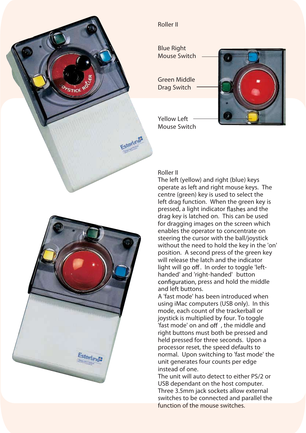

#### **Roller II**

Blue Right Mouse Switch

Green Middle Drag Switch



Yellow Left Mouse Switch

#### **Roller II**

The left (yellow) and right (blue) keys operate as left and right mouse keys. The centre (green) key is used to select the left drag function. When the green key is pressed, a light indicator flashes and the drag key is latched on. This can be used for dragging images on the screen which enables the operator to concentrate on steering the cursor with the ball/joystick without the need to hold the key in the 'on' position. A second press of the green key will release the latch and the indicator light will go off. In order to toggle 'lefthanded' and 'right-handed' button configuration, press and hold the middle and left buttons.

A 'fast mode' has been introduced when using iMac computers (USB only). In this mode, each count of the trackerball or joystick is multiplied by four. To toggle 'fast mode' on and off , the middle and right buttons must both be pressed and held pressed for three seconds. Upon a processor reset, the speed defaults to normal. Upon switching to 'fast mode' the unit generates four counts per edge instead of one.

The unit will auto detect to either PS/2 or USB dependant on the host computer. Three 3.5mm jack sockets allow external switches to be connected and parallel the function of the mouse switches.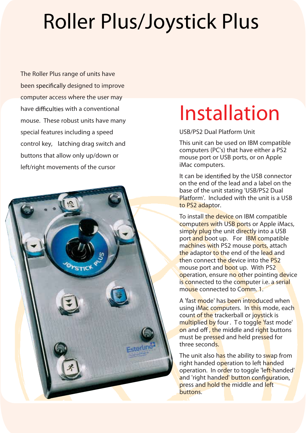## Roller Plus/Joystick Plus

**The Roller Plus range of units have been designed to improve computer access where the user may have with a conventional mouse. These robust units have many special features including a speed control key, latching drag switch and buttons that allow only up/down or left/right movements of the cursor**



### Installation

**USB/PS2 Dual Platform Unit**

This unit can be used on IBM compatible computers (PC's) that have either a PS2 mouse port or USB ports, or on Apple iMac computers.

It can be identified by the USB connector on the end of the lead and a label on the base of the unit stating 'USB/PS2 Dual Platform'. Included with the unit is a USB to PS2 adaptor.

To install the device on IBM compatible computers with USB ports or Apple iMacs, simply plug the unit directly into a USB port and boot up. For IBM compatible machines with PS2 mouse ports, attach the adaptor to the end of the lead and then connect the device into the PS2 mouse port and boot up. With PS2 operation, ensure no other pointing device is connected to the computer i.e. a serial mouse connected to Comm. 1

A 'fast mode' has been introduced when using iMac computers. In this mode, each count of the trackerball or joystick is multiplied by four. To toggle 'fast mode' on and off, the middle and right buttons must be pressed and held pressed for three seconds.

The unit also has the ability to swap from right handed operation to left handed operation. In order to toggle 'left-handed' and 'right handed' button configuration. press and hold the middle and left buttons.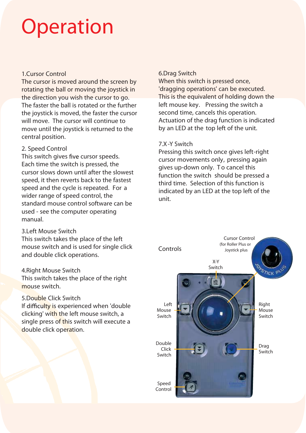### **Operation**

#### **1.Cursor Control**

The cursor is moved around the screen by rotating the ball or moving the joystick in the direction you wish the cursor to go. The faster the ball is rotated or the further the joystick is moved, the faster the cursor will move. The cursor will continue to move until the joystick is returned to the central position.

#### **2. Speed Control**

This switch gives five cursor speeds. Each time the switch is pressed, the cursor slows down until after the slowest speed, it then reverts back to the fastest speed and the cycle is repeated. For a wider range of speed control, the standard mouse control software can be used - see the computer operating manual.

#### **3.Left Mouse Switch**

This switch takes the place of the left mouse switch and is used for single click and double click operations.

#### **4.Right Mouse Switch**

This switch takes the place of the right mouse switch.

#### **5.Double Click Switch**

If difficulty is experienced when 'double clicking' with the left mouse switch, a single press of this switch will execute a double click operation.

#### **6.Drag Switch**

When this switch is pressed once, 'dragging operations' can be executed. This is the equivalent of holding down the left mouse key. Pressing the switch a second time, cancels this operation. Actuation of the drag function is indicated by an LED at the top left of the unit.

#### **7.X-Y Switch**

Pressing this switch once gives left-right cursor movements only, pressing again gives up-down only. To cancel this function the switch should be pressed a third time. Selection of this function is indicated by an LED at the top left of the unit.

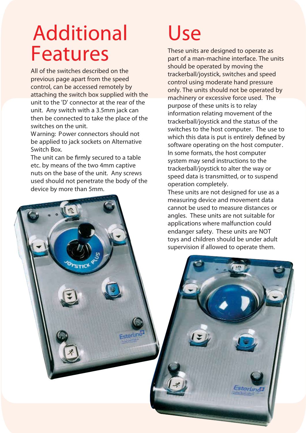### Additional Features

All of the switches described on the previous page apart from the speed control, can be accessed remotely by attaching the switch box supplied with the unit to the 'D' connector at the rear of the unit. Any switch with a 3.5mm jack can then be connected to take the place of the switches on the unit.

Warning: Power connectors should not be applied to jack sockets on Alternative Switch Box.

The unit can be firmly secured to a table etc. by means of the two 4mm captive nuts on the base of the unit. Any screws used should not penetrate the body of the device by more than 5mm.

### Use

These units are designed to operate as part of a man-machine interface. The units should be operated by moving the trackerball/joystick, switches and speed control using moderate hand pressure only. The units should not be operated by machinery or excessive force used. The purpose of these units is to relay information relating movement of the trackerball/joystick and the status of the switches to the host computer. The use to which this data is put is entirely defined by software operating on the host computer. In some formats, the host computer system may send instructions to the trackerball/joystick to alter the way or speed data is transmitted, or to suspend operation completely.

These units are not designed for use as a measuring device and movement data cannot be used to measure distances or angles. These units are not suitable for applications where malfunction could endanger safety. These units are NOT toys and children should be under adult supervision if allowed to operate them.

sterlindi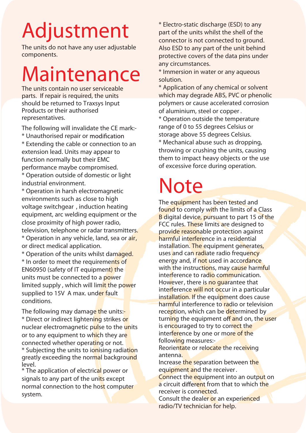# Adjustment

The units do not have any user adjustable components.

### Maintenance

The units contain no user serviceable parts. If repair is required, the units should be returned to Traxsys Input Products or their authorised representatives.

The following will invalidate the CE mark:-

\* Unauthorised repair or \* Extending the cable or connection to an extension lead. Units may appear to function normally but their EMC performance maybe compromised.

\* Operation outside of domestic or light industrial environment.

\* Operation in harsh electromagnetic environments such as close to high voltage switchgear , induction heating equipment, arc welding equipment or the close proximity of high power radio, television, telephone or radar transmitters.

\* Operation in any vehicle, land, sea or air, or direct medical application.

\* Operation of the units whilst damaged. \* In order to meet the requirements of EN60950 (safety of IT equipment) the units must be connected to a power limited supply, which will limit the power supplied to 15V A max. under fault conditions.

The following may damage the units:-\* Direct or indirect lightening strikes or nuclear electromagnetic pulse to the units or to any equipment to which they are connected whether operating or not. \* Subjecting the units to ionising radiation greatly exceeding the normal background level.

\* The application of electrical power or signals to any part of the units except normal connection to the host computer system.

\* Electro-static discharge (ESD) to any part of the units whilst the shell of the connector is not connected to ground. Also ESD to any part of the unit behind protective covers of the data pins under any circumstances.

\* Immersion in water or any aqueous solution.

\* Application of any chemical or solvent which may degrade ABS, PVC or phenolic polymers or cause accelerated corrosion of aluminium, steel or copper .

\* Operation outside the temperature range of 0 to 55 degrees Celsius or storage above 55 degrees Celsius.

\* Mechanical abuse such as dropping, throwing or crushing the units, causing them to impact heavy objects or the use of excessive force during operation.

### Note

The equipment has been tested and found to comply with the limits of a Class **B** digital device, pursuant to part 15 of the FCC rules. These limits are designed to provide reasonable protection against harmful interference in a residential installation. The equipment generates, uses and can radiate radio frequency energy and, if not used in accordance with the instructions, may cause harmful interference to radio communication. However, there is no quarantee that interference will not occur in a particular installation. If the equipment does cause harmful interference to radio or television reception, which can be determined by turning the equipment off and on, the user is encouraged to try to correct the interference by one or more of the following measures:-

Reorientate or relocate the receiving antenna.

Increase the separation between the equipment and the receiver.

Connect the equipment into an output on a circuit different from that to which the receiver is connected.

Consult the dealer or an experienced radio/TV technician for help.